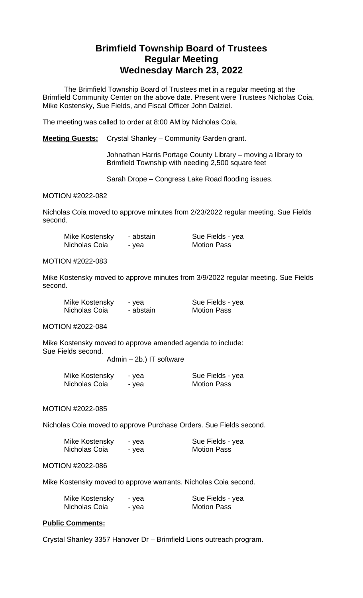# **Brimfield Township Board of Trustees Regular Meeting Wednesday March 23, 2022**

The Brimfield Township Board of Trustees met in a regular meeting at the Brimfield Community Center on the above date. Present were Trustees Nicholas Coia, Mike Kostensky, Sue Fields, and Fiscal Officer John Dalziel.

The meeting was called to order at 8:00 AM by Nicholas Coia.

**Meeting Guests:** Crystal Shanley – Community Garden grant.

Johnathan Harris Portage County Library – moving a library to Brimfield Township with needing 2,500 square feet

> Sue Fields - yea **Motion Pass**

Sarah Drope – Congress Lake Road flooding issues.

MOTION #2022-082

Nicholas Coia moved to approve minutes from 2/23/2022 regular meeting. Sue Fields second.

| Mike Kostensky | - abstain |
|----------------|-----------|
| Nicholas Coia  | - yea     |

MOTION #2022-083

Mike Kostensky moved to approve minutes from 3/9/2022 regular meeting. Sue Fields second.

| Mike Kostensky | - yea     | Sue Fields - yea   |
|----------------|-----------|--------------------|
| Nicholas Coia  | - abstain | <b>Motion Pass</b> |

MOTION #2022-084

Mike Kostensky moved to approve amended agenda to include: Sue Fields second.

Admin – 2b.) IT software

| Mike Kostensky | - yea | Sue Fields - yea   |
|----------------|-------|--------------------|
| Nicholas Coia  | - yea | <b>Motion Pass</b> |

MOTION #2022-085

Nicholas Coia moved to approve Purchase Orders. Sue Fields second.

| Mike Kostensky | - yea | Sue Fields - yea   |
|----------------|-------|--------------------|
| Nicholas Coia  | - yea | <b>Motion Pass</b> |

#### MOTION #2022-086

Mike Kostensky moved to approve warrants. Nicholas Coia second.

| Mike Kostensky | - yea | Sue Fields - yea   |
|----------------|-------|--------------------|
| Nicholas Coia  | - yea | <b>Motion Pass</b> |

# **Public Comments:**

Crystal Shanley 3357 Hanover Dr – Brimfield Lions outreach program.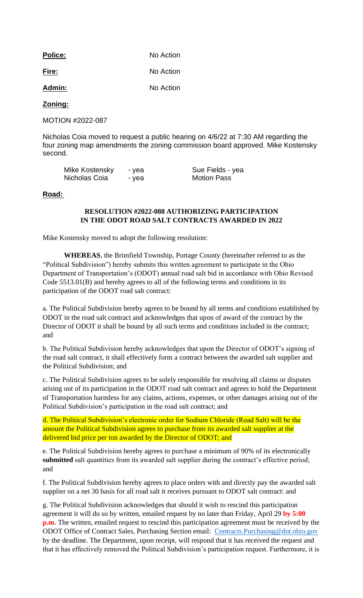| <b>Police:</b> | No Action |  |
|----------------|-----------|--|
| Fire:          | No Action |  |
| Admin:         | No Action |  |

# **Zoning:**

MOTION #2022-087

Nicholas Coia moved to request a public hearing on 4/6/22 at 7:30 AM regarding the four zoning map amendments the zoning commission board approved. Mike Kostensky second.

| Mike Kostensky | - yea | Sue Fields - yea   |
|----------------|-------|--------------------|
| Nicholas Coia  | - yea | <b>Motion Pass</b> |

#### **Road:**

# **RESOLUTION #2022-088 AUTHORIZING PARTICIPATION IN THE ODOT ROAD SALT CONTRACTS AWARDED IN 2022**

Mike Kostensky moved to adopt the following resolution:

**WHEREAS**, the Brimfield Township, Portage County (hereinafter referred to as the "Political Subdivision") hereby submits this written agreement to participate in the Ohio Department of Transportation's (ODOT) annual road salt bid in accordance with Ohio Revised Code 5513.01(B) and hereby agrees to all of the following terms and conditions in its participation of the ODOT road salt contract:

a. The Political Subdivision hereby agrees to be bound by all terms and conditions established by ODOT in the road salt contract and acknowledges that upon of award of the contract by the Director of ODOT it shall be bound by all such terms and conditions included in the contract; and

b. The Political Subdivision hereby acknowledges that upon the Director of ODOT's signing of the road salt contract, it shall effectively form a contract between the awarded salt supplier and the Political Subdivision; and

c. The Political Subdivision agrees to be solely responsible for resolving all claims or disputes arising out of its participation in the ODOT road salt contract and agrees to hold the Department of Transportation harmless for any claims, actions, expenses, or other damages arising out of the Political Subdivision's participation in the road salt contract; and

d. The Political Subdivision's electronic order for Sodium Chloride (Road Salt) will be the amount the Political Subdivision agrees to purchase from its awarded salt supplier at the delivered bid price per ton awarded by the Director of ODOT; and

e. The Political Subdivision hereby agrees to purchase a minimum of 90% of its electronically submitted salt quantities from its awarded salt supplier during the contract's effective period; and

f. The Political Subdivision hereby agrees to place orders with and directly pay the awarded salt supplier on a net 30 basis for all road salt it receives pursuant to ODOT salt contract: and

g. The Political Subdivision acknowledges that should it wish to rescind this participation agreement it will do so by written, emailed request by no later than Friday, April 29 **by 5:00 p.m**. The written, emailed request to rescind this participation agreement must be received by the ODOT Office of Contract Sales, Purchasing Section email: [Contracts.Purchasing@dot.ohio.gov](mailto:Contracts.Purchasing@dot.ohio.gov) by the deadline. The Department, upon receipt, will respond that it has received the request and that it has effectively removed the Political Subdivision's participation request. Furthermore, it is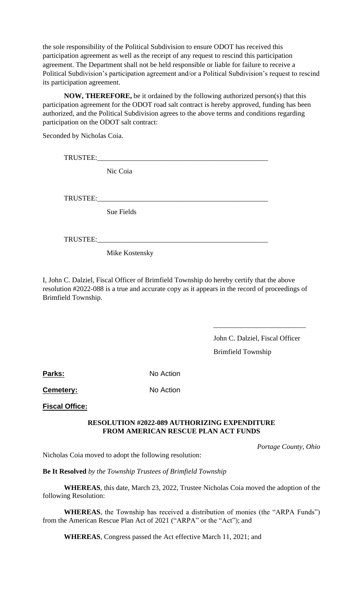the sole responsibility of the Political Subdivision to ensure ODOT has received this participation agreement as well as the receipt of any request to rescind this participation agreement. The Department shall not be held responsible or liable for failure to receive a Political Subdivision's participation agreement and/or a Political Subdivision's request to rescind its participation agreement.

**NOW, THEREFORE,** be it ordained by the following authorized person(s) that this participation agreement for the ODOT road salt contract is hereby approved, funding has been authorized, and the Political Subdivision agrees to the above terms and conditions regarding participation on the ODOT salt contract:

Seconded by Nicholas Coia.

TRUSTEE:\_\_\_\_\_\_\_\_\_\_\_\_\_\_\_\_\_\_\_\_\_\_\_\_\_\_\_\_\_\_\_\_\_\_\_\_\_\_\_\_\_\_\_\_\_\_\_\_

Nic Coia

TRUSTEE:\_\_\_\_\_\_\_\_\_\_\_\_\_\_\_\_\_\_\_\_\_\_\_\_\_\_\_\_\_\_\_\_\_\_\_\_\_\_\_\_\_\_\_\_\_\_\_\_

Sue Fields

TRUSTEE:\_\_\_\_\_\_\_\_\_\_\_\_\_\_\_\_\_\_\_\_\_\_\_\_\_\_\_\_\_\_\_\_\_\_\_\_\_\_\_\_\_\_\_\_\_\_\_\_

Mike Kostensky

I, John C. Dalziel, Fiscal Officer of Brimfield Township do hereby certify that the above resolution #2022-088 is a true and accurate copy as it appears in the record of proceedings of Brimfield Township.

> John C. Dalziel, Fiscal Officer Brimfield Township

\_\_\_\_\_\_\_\_\_\_\_\_\_\_\_\_\_\_\_\_\_\_\_\_\_\_

Parks: No Action

**Cemetery:** No Action

**Fiscal Office:**

# **RESOLUTION #2022-089 AUTHORIZING EXPENDITURE FROM AMERICAN RESCUE PLAN ACT FUNDS**

 *Portage County, Ohio*

Nicholas Coia moved to adopt the following resolution:

**Be It Resolved** *by the Township Trustees of Brimfield Township*

**WHEREAS**, this date, March 23, 2022, Trustee Nicholas Coia moved the adoption of the following Resolution:

**WHEREAS**, the Township has received a distribution of monies (the "ARPA Funds") from the American Rescue Plan Act of 2021 ("ARPA" or the "Act"); and

**WHEREAS**, Congress passed the Act effective March 11, 2021; and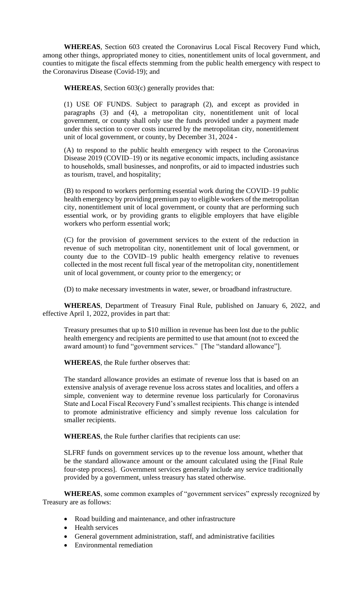**WHEREAS**, Section 603 created the Coronavirus Local Fiscal Recovery Fund which, among other things, appropriated money to cities, nonentitlement units of local government, and counties to mitigate the fiscal effects stemming from the public health emergency with respect to the Coronavirus Disease (Covid-19); and

**WHEREAS**, Section 603(c) generally provides that:

(1) USE OF FUNDS. Subject to paragraph (2), and except as provided in paragraphs (3) and (4), a metropolitan city, nonentitlement unit of local government, or county shall only use the funds provided under a payment made under this section to cover costs incurred by the metropolitan city, nonentitlement unit of local government, or county, by December 31, 2024 -

(A) to respond to the public health emergency with respect to the Coronavirus Disease 2019 (COVID–19) or its negative economic impacts, including assistance to households, small businesses, and nonprofits, or aid to impacted industries such as tourism, travel, and hospitality;

(B) to respond to workers performing essential work during the COVID–19 public health emergency by providing premium pay to eligible workers of the metropolitan city, nonentitlement unit of local government, or county that are performing such essential work, or by providing grants to eligible employers that have eligible workers who perform essential work;

(C) for the provision of government services to the extent of the reduction in revenue of such metropolitan city, nonentitlement unit of local government, or county due to the COVID–19 public health emergency relative to revenues collected in the most recent full fiscal year of the metropolitan city, nonentitlement unit of local government, or county prior to the emergency; or

(D) to make necessary investments in water, sewer, or broadband infrastructure.

**WHEREAS**, Department of Treasury Final Rule, published on January 6, 2022, and effective April 1, 2022, provides in part that:

Treasury presumes that up to \$10 million in revenue has been lost due to the public health emergency and recipients are permitted to use that amount (not to exceed the award amount) to fund "government services." [The "standard allowance"].

**WHEREAS**, the Rule further observes that:

The standard allowance provides an estimate of revenue loss that is based on an extensive analysis of average revenue loss across states and localities, and offers a simple, convenient way to determine revenue loss particularly for Coronavirus State and Local Fiscal Recovery Fund's smallest recipients. This change is intended to promote administrative efficiency and simply revenue loss calculation for smaller recipients.

**WHEREAS**, the Rule further clarifies that recipients can use:

SLFRF funds on government services up to the revenue loss amount, whether that be the standard allowance amount or the amount calculated using the [Final Rule four-step process]. Government services generally include any service traditionally provided by a government, unless treasury has stated otherwise.

**WHEREAS**, some common examples of "government services" expressly recognized by Treasury are as follows:

- Road building and maintenance, and other infrastructure
- Health services
- General government administration, staff, and administrative facilities
- Environmental remediation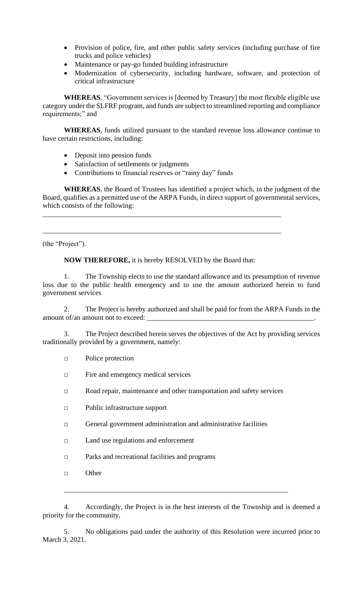- Provision of police, fire, and other public safety services (including purchase of fire trucks and police vehicles)
- Maintenance or pay-go funded building infrastructure
- Modernization of cybersecurity, including hardware, software, and protection of critical infrastructure

**WHEREAS**, "Government services is [deemed by Treasury] the most flexible eligible use category under the SLFRF program, and funds are subject to streamlined reporting and compliance requirements;" and

**WHEREAS**, funds utilized pursuant to the standard revenue loss allowance continue to have certain restrictions, including:

- Deposit into pension funds
- Satisfaction of settlements or judgments
- Contributions to financial reserves or "rainy day" funds

**WHEREAS**, the Board of Trustees has identified a project which, in the judgment of the Board, qualifies as a permitted use of the ARPA Funds, in direct support of governmental services, which consists of the following:

(the "Project").

# **NOW THEREFORE,** it is hereby RESOLVED by the Board that:

\_\_\_\_\_\_\_\_\_\_\_\_\_\_\_\_\_\_\_\_\_\_\_\_\_\_\_\_\_\_\_\_\_\_\_\_\_\_\_\_\_\_\_\_\_\_\_\_\_\_\_\_\_\_\_\_\_\_\_\_\_\_\_\_\_\_\_

\_\_\_\_\_\_\_\_\_\_\_\_\_\_\_\_\_\_\_\_\_\_\_\_\_\_\_\_\_\_\_\_\_\_\_\_\_\_\_\_\_\_\_\_\_\_\_\_\_\_\_\_\_\_\_\_\_\_\_\_\_\_\_\_\_\_\_

1. The Township elects to use the standard allowance and its presumption of revenue loss due to the public health emergency and to use the amount authorized herein to fund government services

2. The Project is hereby authorized and shall be paid for from the ARPA Funds in the amount of/an amount not to exceed:

3. The Project described herein serves the objectives of the Act by providing services traditionally provided by a government, namely:

- □ Police protection
- □ Fire and emergency medical services
- □ Road repair, maintenance and other transportation and safety services
- □ Public infrastructure support
- □ General government administration and administrative facilities
- □ Land use regulations and enforcement
- □ Parks and recreational facilities and programs
- □ Other

4. Accordingly, the Project is in the best interests of the Township and is deemed a priority for the community.

\_\_\_\_\_\_\_\_\_\_\_\_\_\_\_\_\_\_\_\_\_\_\_\_\_\_\_\_\_\_\_\_\_\_\_\_\_\_\_\_\_\_\_\_\_\_\_\_\_\_\_\_\_\_\_\_\_\_\_\_\_\_\_

5. No obligations paid under the authority of this Resolution were incurred prior to March 3, 2021.